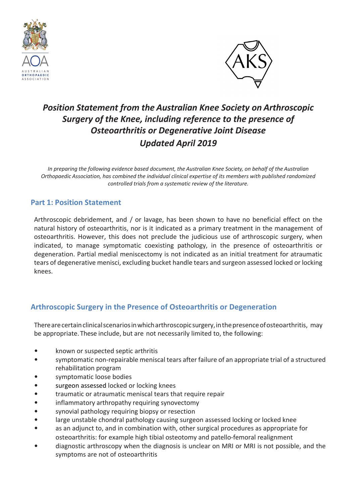



# *Position Statement from the Australian Knee Society on Arthroscopic Surgery of the Knee, including reference to the presence of Osteoarthritis or Degenerative Joint Disease Updated April 2019*

*In preparing the following evidence based document, the Australian Knee Society, on behalf of the Australian Orthopaedic Association, has combined the individual clinical expertise of its members with published randomized controlled trials from a systematic review of the literature.*

## **Part 1: Position Statement**

Arthroscopic debridement, and / or lavage, has been shown to have no beneficial effect on the natural history of osteoarthritis, nor is it indicated as a primary treatment in the management of osteoarthritis. However, this does not preclude the judicious use of arthroscopic surgery, when indicated, to manage symptomatic coexisting pathology, in the presence of osteoarthritis or degeneration. Partial medial meniscectomy is not indicated as an initial treatment for atraumatic tears of degenerative menisci, excluding bucket handle tears and surgeon assessed locked or locking knees.

## **Arthroscopic Surgery in the Presence of Osteoarthritis or Degeneration**

There are certain clinical scenarios in which arthroscopic surgery, in the presence of osteoarthritis, may be appropriate. These include, but are not necessarily limited to, the following:

- *•* known or suspected septic arthritis
- *•* symptomatic non-repairable meniscal tears after failure of an appropriate trial of a structured rehabilitation program
- *•* symptomatic loose bodies
- *•* surgeon assessed locked or locking knees
- *•* traumatic or atraumatic meniscal tears that require repair
- *•* inflammatory arthropathy requiring synovectomy
- *•* synovial pathology requiring biopsy or resection
- *•* large unstable chondral pathology causing surgeon assessed locking or locked knee
- *•* as an adjunct to, and in combination with, other surgical procedures as appropriate for osteoarthritis: for example high tibial osteotomy and patello-femoral realignment
- *•* diagnostic arthroscopy when the diagnosis is unclear on MRI or MRI is not possible, and the symptoms are not of osteoarthritis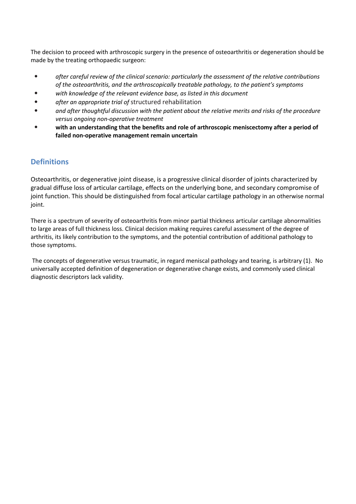The decision to proceed with arthroscopic surgery in the presence of osteoarthritis or degeneration should be made by the treating orthopaedic surgeon:

- *• after careful review of the clinical scenario: particularly the assessment of the relative contributions of the osteoarthritis, and the arthroscopically treatable pathology, to the patient's symptoms*
- *• with knowledge of the relevant evidence base, as listed in this document*
- *• after an appropriate trial of* structured rehabilitation
- *• and after thoughtful discussion with the patient about the relative merits and risks of the procedure versus ongoing non-operative treatment*
- *•* **with an understanding that the benefits and role of arthroscopic meniscectomy after a period of failed non-operative management remain uncertain**

## **Definitions**

Osteoarthritis, or degenerative joint disease, is a progressive clinical disorder of joints characterized by gradual diffuse loss of articular cartilage, effects on the underlying bone, and secondary compromise of joint function. This should be distinguished from focal articular cartilage pathology in an otherwise normal joint.

There is a spectrum of severity of osteoarthritis from minor partial thickness articular cartilage abnormalities to large areas of full thickness loss. Clinical decision making requires careful assessment of the degree of arthritis, its likely contribution to the symptoms, and the potential contribution of additional pathology to those symptoms.

The concepts of degenerative versus traumatic, in regard meniscal pathology and tearing, is arbitrary (1). No universally accepted definition of degeneration or degenerative change exists, and commonly used clinical diagnostic descriptors lack validity.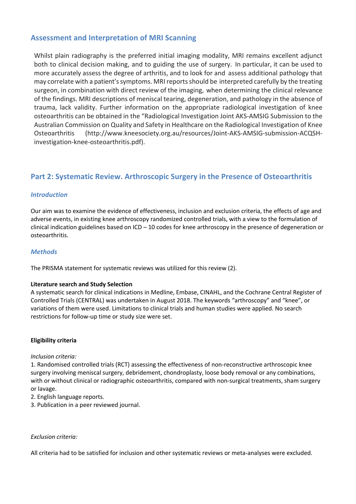## **Assessment and Interpretation of MRI Scanning**

Whilst plain radiography is the preferred initial imaging modality, MRI remains excellent adjunct both to clinical decision making, and to guiding the use of surgery. In particular, it can be used to more accurately assess the degree of arthritis, and to look for and assess additional pathology that may correlate with a patient's symptoms. MRI reports should be interpreted carefully by the treating surgeon, in combination with direct review of the imaging, when determining the clinical relevance of the findings. MRI descriptions of meniscal tearing, degeneration, and pathology in the absence of trauma, lack validity. Further information on the appropriate radiological investigation of knee osteoarthritis can be obtained in the "Radiological Investigation Joint AKS-AMSIG Submission to the Australian Commission on Quality and Safety in Healthcare on the Radiological Investigation of Knee Osteoarthritis (http://www.kneesociety.org.au/resources/Joint-AKS-AMSIG-submission-ACQSHinvestigation-knee-osteoarthritis.pdf).

## **Part 2: Systematic Review. Arthroscopic Surgery in the Presence of Osteoarthritis**

## *Introduction*

Our aim was to examine the evidence of effectiveness, inclusion and exclusion criteria, the effects of age and adverse events, in existing knee arthroscopy randomized controlled trials, with a view to the formulation of clinical indication guidelines based on  $ICD - 10$  codes for knee arthroscopy in the presence of degeneration or osteoarthritis.

#### *Methods*

The PRISMA statement for systematic reviews was utilized for this review (2).

#### **Literature search and Study Selection**

A systematic search for clinical indications in Medline, Embase, CINAHL, and the Cochrane Central Register of Controlled Trials (CENTRAL) was undertaken in August 2018. The keywords "arthroscopy" and "knee", or variations of them were used. Limitations to clinical trials and human studies were applied. No search restrictions for follow-up time or study size were set.

#### **Eligibility criteria**

#### *Inclusion criteria:*

1. Randomised controlled trials (RCT) assessing the effectiveness of non-reconstructive arthroscopic knee surgery involving meniscal surgery, debridement, chondroplasty, loose body removal or any combinations, with or without clinical or radiographic osteoarthritis, compared with non-surgical treatments, sham surgery or lavage.

2. English language reports.

3. Publication in a peer reviewed journal.

## *Exclusion criteria:*

All criteria had to be satisfied for inclusion and other systematic reviews or meta-analyses were excluded.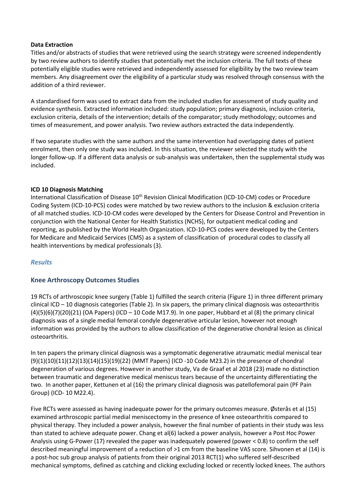#### **Data Extraction**

Titles and/or abstracts of studies that were retrieved using the search strategy were screened independently by two review authors to identify studies that potentially met the inclusion criteria. The full texts of these potentially eligible studies were retrieved and independently assessed for eligibility by the two review team members. Any disagreement over the eligibility of a particular study was resolved through consensus with the addition of a third reviewer.

A standardised form was used to extract data from the included studies for assessment of study quality and evidence synthesis. Extracted information included: study population; primary diagnosis, inclusion criteria, exclusion criteria, details of the intervention; details of the comparator; study methodology; outcomes and times of measurement, and power analysis. Two review authors extracted the data independently.

If two separate studies with the same authors and the same intervention had overlapping dates of patient enrolment, then only one study was included. In this situation, the reviewer selected the study with the longer follow-up. If a different data analysis or sub-analysis was undertaken, then the supplemental study was included.

#### **ICD 10 Diagnosis Matching**

International Classification of Disease 10<sup>th</sup> Revision Clinical Modification (ICD-10-CM) codes or Procedure Coding System (ICD-10-PCS) codes were matched by two review authors to the inclusion & exclusion criteria of all matched studies. ICD-10-CM codes were developed by the Centers for Disease Control and Prevention in conjunction with the National Center for Health Statistics (NCHS), for outpatient medical coding and reporting, as published by the World Health Organization. ICD-10-PCS codes were developed by the Centers for Medicare and Medicaid Services (CMS) as a system of classification of procedural codes to classify all health interventions by medical professionals (3).

## *Results*

## **Knee Arthroscopy Outcomes Studies**

19 RCTs of arthroscopic knee surgery (Table 1) fulfilled the search criteria (Figure 1) in three different primary clinical ICD – 10 diagnosis categories (Table 2). In six papers, the primary clinical diagnosis was osteoarthritis  $(4)(5)(6)(7)(20)(21)$  (OA Papers) (ICD – 10 Code M17.9). In one paper, Hubbard et al (8) the primary clinical diagnosis was of a single medial femoral condyle degenerative articular lesion, however not enough information was provided by the authors to allow classification of the degenerative chondral lesion as clinical osteoarthritis.

In ten papers the primary clinical diagnosis was a symptomatic degenerative atraumatic medial meniscal tear (9)(1)(10)(11)(12)(13)(14)(15)(19)(22) (MMT Papers) (ICD -10 Code M23.2) in the presence of chondral degeneration of various degrees. However in another study, Va de Graaf et al 2018 (23) made no distinction between traumatic and degenerative medical meniscus tears because of the uncertainty differentiating the two. In another paper, Kettunen et al (16) the primary clinical diagnosis was patellofemoral pain (PF Pain Group) (ICD- 10 M22.4).

Five RCTs were assessed as having inadequate power for the primary outcomes measure. Østerås et al (15) examined arthroscopic partial medial meniscectomy in the presence of knee osteoarthritis compared to physical therapy. They included a power analysis, however the final number of patients in their study was less than stated to achieve adequate power. Chang et al(6) lacked a power analysis, however a Post Hoc Power Analysis using G-Power (17) revealed the paper was inadequately powered (power < 0.8) to confirm the self described meaningful improvement of a reduction of >1 cm from the baseline VAS score. Sihvonen et al (14) is a post-hoc sub group analysis of patients from their original 2013 RCT(1) who suffered self-described mechanical symptoms, defined as catching and clicking excluding locked or recently locked knees. The authors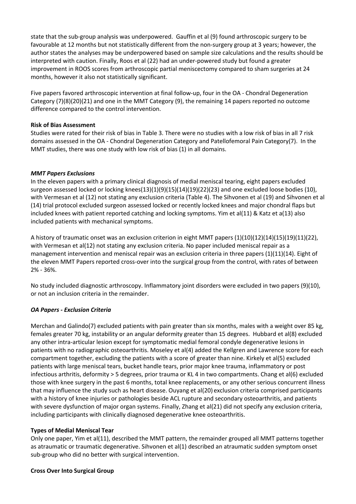state that the sub-group analysis was underpowered. Gauffin et al (9) found arthroscopic surgery to be favourable at 12 months but not statistically different from the non-surgery group at 3 years; however, the author states the analyses may be underpowered based on sample size calculations and the results should be interpreted with caution. Finally, Roos et al (22) had an under-powered study but found a greater improvement in ROOS scores from arthroscopic partial meniscectomy compared to sham surgeries at 24 months, however it also not statistically significant.

Five papers favored arthroscopic intervention at final follow-up, four in the OA - Chondral Degeneration Category (7)(8)(20)(21) and one in the MMT Category (9), the remaining 14 papers reported no outcome difference compared to the control intervention.

#### **Risk of Bias Assessment**

Studies were rated for their risk of bias in Table 3. There were no studies with a low risk of bias in all 7 risk domains assessed in the OA - Chondral Degeneration Category and Patellofemoral Pain Category(7). In the MMT studies, there was one study with low risk of bias (1) in all domains.

## *MMT Papers Exclusions*

In the eleven papers with a primary clinical diagnosis of medial meniscal tearing, eight papers excluded surgeon assessed locked or locking knees(13)(1)(9)(15)(14)(19)(22)(23) and one excluded loose bodies (10), with Vermesan et al (12) not stating any exclusion criteria (Table 4). The Sihvonen et al (19) and Sihvonen et al (14) trial protocol excluded surgeon assessed locked or recently locked knees and major chondral flaps but included knees with patient reported catching and locking symptoms. Yim et al(11) & Katz et a(13) also included patients with mechanical symptoms.

A history of traumatic onset was an exclusion criterion in eight MMT papers (1)(10)(12)(14)(15)(19)(11)(22), with Vermesan et al(12) not stating any exclusion criteria. No paper included meniscal repair as a management intervention and meniscal repair was an exclusion criteria in three papers (1)(11)(14). Eight of the eleven MMT Papers reported cross-over into the surgical group from the control, with rates of between 2% - 36%.

No study included diagnostic arthroscopy. Inflammatory joint disorders were excluded in two papers (9)(10), or not an inclusion criteria in the remainder.

## *OA Papers - Exclusion Criteria*

Merchan and Galindo(7) excluded patients with pain greater than six months, males with a weight over 85 kg, females greater 70 kg, instability or an angular deformity greater than 15 degrees. Hubbard et al(8) excluded any other intra-articular lesion except for symptomatic medial femoral condyle degenerative lesions in patients with no radiographic osteoarthritis. Moseley et al(4) added the Kellgren and Lawrence score for each compartment together, excluding the patients with a score of greater than nine. Kirkely et al(5) excluded patients with large meniscal tears, bucket handle tears, prior major knee trauma, inflammatory or post infectious arthritis, deformity > 5 degrees, prior trauma or KL 4 in two compartments. Chang et al(6) excluded those with knee surgery in the past 6 months, total knee replacements, or any other serious concurrent illness that may influence the study such as heart disease. Ouyang et al(20) exclusion criteria comprised participants with a history of knee injuries or pathologies beside ACL rupture and secondary osteoarthritis, and patients with severe dysfunction of major organ systems. Finally, Zhang et al(21) did not specify any exclusion criteria, including participants with clinically diagnosed degenerative knee osteoarthritis.

#### **Types of Medial Meniscal Tear**

Only one paper, Yim et al(11), described the MMT pattern, the remainder grouped all MMT patterns together as atraumatic or traumatic degenerative. Sihvonen et al(1) described an atraumatic sudden symptom onset sub-group who did no better with surgical intervention.

## **Cross Over Into Surgical Group**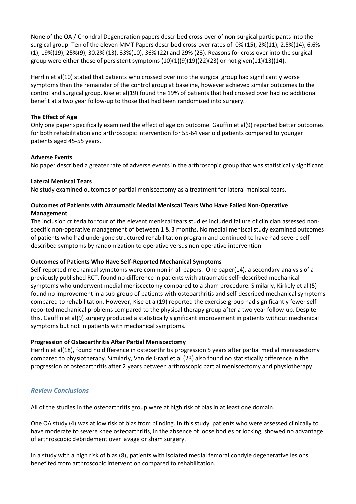None of the OA / Chondral Degeneration papers described cross-over of non-surgical participants into the surgical group. Ten of the eleven MMT Papers described cross-over rates of 0% (15), 2%(11), 2.5%(14), 6.6% (1), 19%(19), 25%(9), 30.2% (13), 33%(10), 36% (22) and 29% (23). Reasons for cross over into the surgical group were either those of persistent symptoms  $(10)(1)(9)(19)(22)(23)$  or not given $(11)(13)(14)$ .

Herrlin et al(10) stated that patients who crossed over into the surgical group had significantly worse symptoms than the remainder of the control group at baseline, however achieved similar outcomes to the control and surgical group. Kise et al(19) found the 19% of patients that had crossed over had no additional benefit at a two year follow-up to those that had been randomized into surgery.

#### **The Effect of Age**

Only one paper specifically examined the effect of age on outcome. Gauffin et al(9) reported better outcomes for both rehabilitation and arthroscopic intervention for 55-64 year old patients compared to younger patients aged 45-55 years.

#### **Adverse Events**

No paper described a greater rate of adverse events in the arthroscopic group that was statistically significant.

#### **Lateral Meniscal Tears**

No study examined outcomes of partial meniscectomy as a treatment for lateral meniscal tears.

## **Outcomes of Patients with Atraumatic Medial Meniscal Tears Who Have Failed Non-Operative Management**

The inclusion criteria for four of the elevent meniscal tears studies included failure of clinician assessed nonspecific non-operative management of between 1 & 3 months. No medial meniscal study examined outcomes of patients who had undergone structured rehabilitation program and continued to have had severe selfdescribed symptoms by randomization to operative versus non-operative intervention.

## **Outcomes of Patients Who Have Self-Reported Mechanical Symptoms**

Self-reported mechanical symptoms were common in all papers. One paper(14), a secondary analysis of a previously published RCT, found no difference in patients with atraumatic self–described mechanical symptoms who underwent medial meniscectomy compared to a sham procedure. Similarly, Kirkely et al (5) found no improvement in a sub-group of patients with osteoarthritis and self-described mechanical symptoms compared to rehabilitation. However, Kise et al(19) reported the exercise group had significantly fewer selfreported mechanical problems compared to the physical therapy group after a two year follow-up. Despite this, Gauffin et al(9) surgery produced a statistically significant improvement in patients without mechanical symptoms but not in patients with mechanical symptoms.

## **Progression of Osteoarthritis After Partial Meniscectomy**

Herrlin et al(18), found no difference in osteoarthritis progression 5 years after partial medial meniscectomy compared to physiotherapy. Similarly, Van de Graaf et al (23) also found no statistically difference in the progression of osteoarthritis after 2 years between arthroscopic partial meniscectomy and physiotherapy.

## *Review Conclusions*

All of the studies in the osteoarthritis group were at high risk of bias in at least one domain.

One OA study (4) was at low risk of bias from blinding. In this study, patients who were assessed clinically to have moderate to severe knee osteoarthritis, in the absence of loose bodies or locking, showed no advantage of arthroscopic debridement over lavage or sham surgery.

In a study with a high risk of bias (8), patients with isolated medial femoral condyle degenerative lesions benefited from arthroscopic intervention compared to rehabilitation.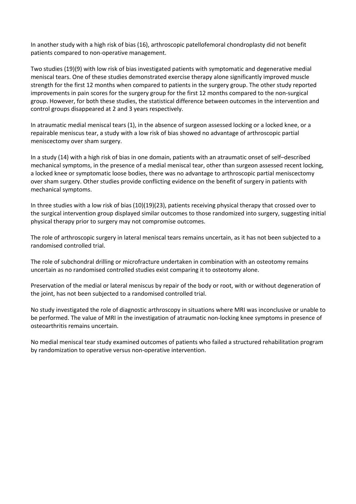In another study with a high risk of bias (16), arthroscopic patellofemoral chondroplasty did not benefit patients compared to non-operative management.

Two studies (19)(9) with low risk of bias investigated patients with symptomatic and degenerative medial meniscal tears. One of these studies demonstrated exercise therapy alone significantly improved muscle strength for the first 12 months when compared to patients in the surgery group. The other study reported improvements in pain scores for the surgery group for the first 12 months compared to the non-surgical group. However, for both these studies, the statistical difference between outcomes in the intervention and control groups disappeared at 2 and 3 years respectively.

In atraumatic medial meniscal tears (1), in the absence of surgeon assessed locking or a locked knee, or a repairable meniscus tear, a study with a low risk of bias showed no advantage of arthroscopic partial meniscectomy over sham surgery.

In a study (14) with a high risk of bias in one domain, patients with an atraumatic onset of self–described mechanical symptoms, in the presence of a medial meniscal tear, other than surgeon assessed recent locking, a locked knee or symptomatic loose bodies, there was no advantage to arthroscopic partial meniscectomy over sham surgery. Other studies provide conflicting evidence on the benefit of surgery in patients with mechanical symptoms.

In three studies with a low risk of bias (10)(19)(23), patients receiving physical therapy that crossed over to the surgical intervention group displayed similar outcomes to those randomized into surgery, suggesting initial physical therapy prior to surgery may not compromise outcomes.

The role of arthroscopic surgery in lateral meniscal tears remains uncertain, as it has not been subjected to a randomised controlled trial.

The role of subchondral drilling or microfracture undertaken in combination with an osteotomy remains uncertain as no randomised controlled studies exist comparing it to osteotomy alone.

Preservation of the medial or lateral meniscus by repair of the body or root, with or without degeneration of the joint, has not been subjected to a randomised controlled trial.

No study investigated the role of diagnostic arthroscopy in situations where MRI was inconclusive or unable to be performed. The value of MRI in the investigation of atraumatic non-locking knee symptoms in presence of osteoarthritis remains uncertain.

No medial meniscal tear study examined outcomes of patients who failed a structured rehabilitation program by randomization to operative versus non-operative intervention.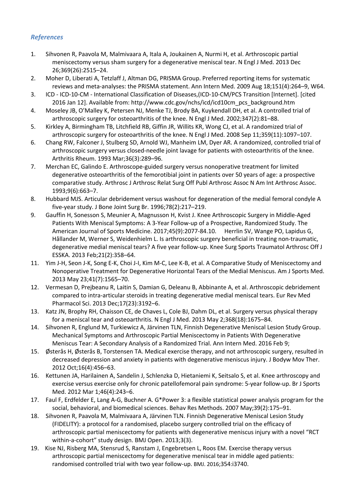## *References*

- 1. Sihvonen R, Paavola M, Malmivaara A, Itala A, Joukainen A, Nurmi H, et al. Arthroscopic partial meniscectomy versus sham surgery for a degenerative meniscal tear. N Engl J Med. 2013 Dec 26;369(26):2515–24.
- 2. Moher D, Liberati A, Tetzlaff J, Altman DG, PRISMA Group. Preferred reporting items for systematic reviews and meta-analyses: the PRISMA statement. Ann Intern Med. 2009 Aug 18;151(4):264–9, W64.
- 3. ICD ICD-10-CM International Classification of Diseases,(ICD-10-CM/PCS Transition [Internet]. [cited 2016 Jan 12]. Available from: http://www.cdc.gov/nchs/icd/icd10cm\_pcs\_background.htm
- 4. Moseley JB, O'Malley K, Petersen NJ, Menke TJ, Brody BA, Kuykendall DH, et al. A controlled trial of arthroscopic surgery for osteoarthritis of the knee. N Engl J Med. 2002;347(2):81–88.
- 5. Kirkley A, Birmingham TB, Litchfield RB, Giffin JR, Willits KR, Wong CJ, et al. A randomized trial of arthroscopic surgery for osteoarthritis of the knee. N Engl J Med. 2008 Sep 11;359(11):1097–107.
- 6. Chang RW, Falconer J, Stulberg SD, Arnold WJ, Manheim LM, Dyer AR. A randomized, controlled trial of arthroscopic surgery versus closed-needle joint lavage for patients with osteoarthritis of the knee. Arthritis Rheum. 1993 Mar;36(3):289–96.
- 7. Merchan EC, Galindo E. Arthroscope-guided surgery versus nonoperative treatment for limited degenerative osteoarthritis of the femorotibial joint in patients over 50 years of age: a prospective comparative study. Arthrosc J Arthrosc Relat Surg Off Publ Arthrosc Assoc N Am Int Arthrosc Assoc. 1993;9(6):663–7.
- 8. Hubbard MJS. Articular debridement versus washout for degeneration of the medial femoral condyle A five-year study. J Bone Joint Surg Br. 1996;78(2):217–219.
- 9. Gauffin H, Sonesson S, Meunier A, Magnusson H, Kvist J. Knee Arthroscopic Surgery in Middle-Aged Patients With Meniscal Symptoms: A 3-Year Follow-up of a Prospective, Randomized Study. The American Journal of Sports Medicine. 2017;45(9):2077-84.10. Herrlin SV, Wange PO, Lapidus G, Hållander M, Werner S, Weidenhielm L. Is arthroscopic surgery beneficial in treating non-traumatic, degenerative medial meniscal tears? A five year follow-up. Knee Surg Sports Traumatol Arthrosc Off J ESSKA. 2013 Feb;21(2):358–64.
- 11. Yim J-H, Seon J-K, Song E-K, Choi J-I, Kim M-C, Lee K-B, et al. A Comparative Study of Meniscectomy and Nonoperative Treatment for Degenerative Horizontal Tears of the Medial Meniscus. Am J Sports Med. 2013 May 23;41(7):1565–70.
- 12. Vermesan D, Prejbeanu R, Laitin S, Damian G, Deleanu B, Abbinante A, et al. Arthroscopic debridement compared to intra-articular steroids in treating degenerative medial meniscal tears. Eur Rev Med Pharmacol Sci. 2013 Dec;17(23):3192–6.
- 13. Katz JN, Brophy RH, Chaisson CE, de Chaves L, Cole BJ, Dahm DL, et al. Surgery versus physical therapy for a meniscal tear and osteoarthritis. N Engl J Med. 2013 May 2;368(18):1675–84.
- 14. Sihvonen R, Englund M, Turkiewicz A, Järvinen TLN, Finnish Degenerative Meniscal Lesion Study Group. Mechanical Symptoms and Arthroscopic Partial Meniscectomy in Patients With Degenerative Meniscus Tear: A Secondary Analysis of a Randomized Trial. Ann Intern Med. 2016 Feb 9;
- 15. Østerås H, Østerås B, Torstensen TA. Medical exercise therapy, and not arthroscopic surgery, resulted in decreased depression and anxiety in patients with degenerative meniscus injury. J Bodyw Mov Ther. 2012 Oct;16(4):456–63.
- 16. Kettunen JA, Harilainen A, Sandelin J, Schlenzka D, Hietaniemi K, Seitsalo S, et al. Knee arthroscopy and exercise versus exercise only for chronic patellofemoral pain syndrome: 5-year follow-up. Br J Sports Med. 2012 Mar 1;46(4):243–6.
- 17. Faul F, Erdfelder E, Lang A-G, Buchner A. G\*Power 3: a flexible statistical power analysis program for the social, behavioral, and biomedical sciences. Behav Res Methods. 2007 May;39(2):175–91.
- 18. Sihvonen R, Paavola M, Malmivaara A, Järvinen TLN. Finnish Degenerative Meniscal Lesion Study (FIDELITY): a protocol for a randomised, placebo surgery controlled trial on the efficacy of arthroscopic partial meniscectomy for patients with degenerative meniscus injury with a novel "RCT within-a-cohort" study design. BMJ Open. 2013;3(3).
- 19. Kise NJ, Risberg MA, Stensrud S, Ranstam J, Engebretsen L, Roos EM. Exercise therapy versus arthroscopic partial meniscectomy for degenerative meniscal tear in middle aged patients: randomised controlled trial with two year follow-up. BMJ. 2016;354:i3740.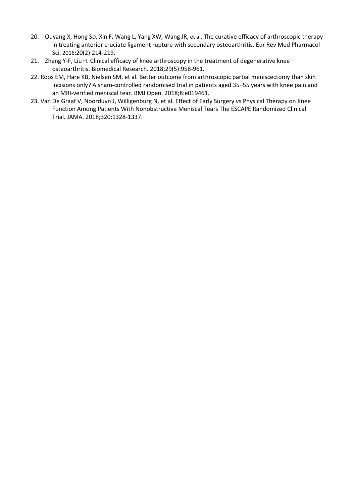- 20. Ouyang X, Hong SD, Xin F, Wang L, Yang XW, Wang JR, et al. The curative efficacy of arthroscopic therapy in treating anterior cruciate ligament rupture with secondary osteoarthritis. Eur Rev Med Pharmacol Sci. 2016;20(2):214-219.
- 21. Zhang Y-F, Liu H. Clinical efficacy of knee arthroscopy in the treatment of degenerative knee osteoarthritis. Biomedical Research. 2018;29(5):958-961.
- 22. Roos EM, Hare KB, Nielsen SM, et al. Better outcome from arthroscopic partial meniscectomy than skin incisions only? A sham-controlled randomised trial in patients aged 35–55 years with knee pain and an MRI-verified meniscal tear. BMJ Open. 2018;8:e019461.
- 23. Van De Graaf V, Noorduyn J, Willigenburg N, et al. Effect of Early Surgery vs Physical Therapy on Knee Function Among Patients With Nonobstructive Meniscal Tears The ESCAPE Randomized Clinical Trial. JAMA. 2018;320:1328-1337.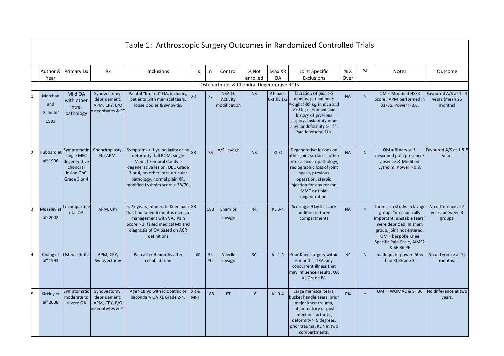| Table 1: Arthroscopic Surgery Outcomes in Randomized Controlled Trials |                                                                                                |                                                                   |                                                                                                                                                                                                                                                         |            |           |                                             |                   |                           |                                                                                                                                                                                                                            |             |              |                                                                                                                                                                                                           |                                                    |
|------------------------------------------------------------------------|------------------------------------------------------------------------------------------------|-------------------------------------------------------------------|---------------------------------------------------------------------------------------------------------------------------------------------------------------------------------------------------------------------------------------------------------|------------|-----------|---------------------------------------------|-------------------|---------------------------|----------------------------------------------------------------------------------------------------------------------------------------------------------------------------------------------------------------------------|-------------|--------------|-----------------------------------------------------------------------------------------------------------------------------------------------------------------------------------------------------------|----------------------------------------------------|
| Year                                                                   | Author & Primary Dx                                                                            | <b>Rx</b>                                                         | <b>Inclusions</b>                                                                                                                                                                                                                                       | <b>Ix</b>  | n         | Control                                     | % Not<br>enrolled | Max XR<br><b>OA</b>       | Joint Specific<br>Exclusions                                                                                                                                                                                               | % X<br>Over | PA           | <b>Notes</b>                                                                                                                                                                                              | Outcome                                            |
|                                                                        |                                                                                                |                                                                   |                                                                                                                                                                                                                                                         |            |           | Osteoarthritis & Chondral Degenerative RCTs |                   |                           |                                                                                                                                                                                                                            |             |              |                                                                                                                                                                                                           |                                                    |
| Merchan<br>and<br>Galindo <sup>7</sup><br>1993                         | Mild OA<br>with other<br>intra-<br>pathology                                                   | Synovectomy;<br>débridement;<br>APM, CPY, E/O<br>osteophytes & PT | Painful "limited" OA, including<br>patients with meniscal tears,<br>loose bodies & synovitis.                                                                                                                                                           | <b>XR</b>  | 73        | NSAID.<br>Activity<br>modification          | <b>NS</b>         | Ahlbach<br>$0-1$ , KL 1-2 | Duration of pain $>6$<br>months, patient body<br>veight >85 kg in men and<br>$>70$ kg in women, and<br>history of previous<br>surgery. Instability or an<br>angular deformity $> 15^\circ$ .<br>Patellofemoral OA.         | <b>NA</b>   | N            | OM = Modified HSSK<br>Score. APM performed in<br>$31/35.$ Power > 0.8.                                                                                                                                    | Favoured A/S at 1 - 3<br>years (mean 25<br>months) |
| al <sup>8</sup> 1996                                                   | Hubbard et Symptomatic<br>single MFC<br>degenerative<br>chondral<br>lesion ObC<br>Grade 3 or 4 | Chondroplasty.<br>No APM.                                         | Symptoms > 1 yr, no laxity or no $_{\text{XR}}$<br>deformity, full ROM, single<br><b>Medial Femoral Condyle</b><br>degenerative lesion, OBC Grade<br>3 or 4, no other intra-articular<br>pathology, normal plain XR,<br>modified Lysholm score < 38/70. |            | 76        | A/S Lavage                                  | <b>NS</b>         | KLO                       | Degenerative lesions on<br>other joint surfaces, other<br>intra-articular pathology,<br>radiographic loss of joint<br>space, previous<br>operation, steroid<br>injection for any reason.<br>MMT or tibial<br>degeneration. | <b>NA</b>   | N            | $OM = Binary self$<br>described pain presence/<br>absence & Modified<br>Lysholm. Power > 0.8.                                                                                                             | Favoured A/S at 1 & 5<br>years                     |
| al <sup>4</sup> 2002                                                   | Moseley et Tricompartme<br>ntal OA                                                             | APM, CPY                                                          | < 75 years, moderate Knee pain XR<br>that had failed 6 months medical<br>management with VAS Pain<br>Score > 3, failed medical Mx and<br>diagnosis of OA based on ACR<br>definitions                                                                    |            | 180       | Sham or<br>Lavage                           | 44                | KL 3-4                    | Scoring > 9 by KL score<br>addition in three<br>compartments                                                                                                                                                               | <b>NA</b>   | $\mathsf{Y}$ | Three arm study. In lavage<br>group, "mechanically<br>mportant, unstable tears'<br>were debrided. In sham<br>group, joint not entered.<br>$OM =$ bespoke Knee<br>Specific Pain Scale, AIMS2<br>& SF 36 PF | No difference at 2<br>years between 3<br>groups.   |
| al <sup>6</sup> 1993                                                   | Chang et Osteoarthritis                                                                        | APM, CPY,<br>Synovectomy                                          | Pain after 3 months after<br>rehabilitation                                                                                                                                                                                                             | <b>XR</b>  | 32<br>Pts | <b>Needle</b><br>Lavage                     | 50                | KL 1-3                    | Prior Knee surgery within<br>6 months, TKA, any<br>concurrent illness that<br>may influence results, OA<br>KL Grade IV.                                                                                                    | <b>NS</b>   | N            | Inadequate power. 50%<br>had KL Grade 3                                                                                                                                                                   | No difference at 12<br>months.                     |
| Kirkley et<br>al <sup>5</sup> 2008                                     | Symptomatic<br>moderate to<br>severe OA                                                        | Synovectomy;<br>debridement;<br>APM, CPY, E/O<br>osteophytes & PT | Age >18 yo with idiopathic or<br>secondary OA KL Grade 2-4.                                                                                                                                                                                             | XR&<br>MRI | 188       | <b>PT</b>                                   | 16                | <b>KL0-4</b>              | Large meniscal tears,<br>bucket handle tears, prior<br>major knee trauma,<br>inflammatory or post<br>infectious arthritis,<br>deformity > 5 degrees,<br>prior trauma, KL 4 in two<br>compartments.                         | 0%          | Y            | $OM = WOMAC & SF 36$                                                                                                                                                                                      | No difference at two<br>years.                     |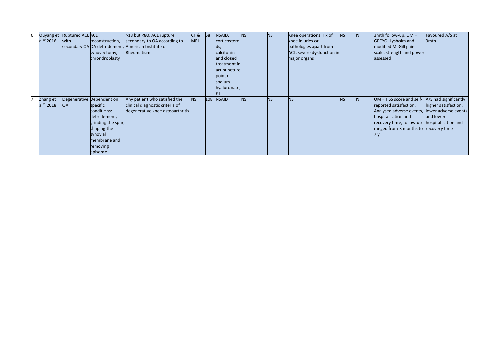|                       | Ouyang et Ruptured ACL ACL |                              | >18 but <80, ACL rupture         | CT&        | 68  | NSAID,        | <b>NS</b> | <b>NS</b> | Knee operations, Hx of     | <b>NS</b> | IN. | $3$ mth follow-up, OM =               | Favoured A/S at       |
|-----------------------|----------------------------|------------------------------|----------------------------------|------------|-----|---------------|-----------|-----------|----------------------------|-----------|-----|---------------------------------------|-----------------------|
| $al^{20}$ 2016        | with                       | reconstruction,              | secondary to OA according to     | <b>MRI</b> |     | corticosteroi |           |           | knee injuries or           |           |     | GPCYO, Lysholm and                    | 3 <sub>mth</sub>      |
|                       |                            | secondary OA OA debridement, | American Institute of            |            |     | ds,           |           |           | pathologies apart from     |           |     | modified McGill pain                  |                       |
|                       |                            | synovectomy,                 | Rheumatism                       |            |     | calcitonin    |           |           | ACL, severe dysfunction in |           |     | scale, strength and power             |                       |
|                       |                            | chrondroplasty               |                                  |            |     | and closed    |           |           | major organs               |           |     | assessed                              |                       |
|                       |                            |                              |                                  |            |     | treatment in  |           |           |                            |           |     |                                       |                       |
|                       |                            |                              |                                  |            |     | acupuncture   |           |           |                            |           |     |                                       |                       |
|                       |                            |                              |                                  |            |     | point of      |           |           |                            |           |     |                                       |                       |
|                       |                            |                              |                                  |            |     | sodium        |           |           |                            |           |     |                                       |                       |
|                       |                            |                              |                                  |            |     | hyaluronate,  |           |           |                            |           |     |                                       |                       |
|                       |                            |                              |                                  |            |     |               |           |           |                            |           |     |                                       |                       |
| Zhang et              |                            | Degenerative Dependent on    | Any patient who satisfied the    | <b>NS</b>  | 108 | <b>NSAID</b>  | <b>NS</b> | <b>NS</b> | <b>NS</b>                  | <b>NS</b> |     | $OM = HSS score and self-$            | A/S had significantly |
| al <sup>21</sup> 2018 | <b>OA</b>                  | specific                     | clinical diagnostic criteria of  |            |     |               |           |           |                            |           |     | reported satisfaction.                | higher satisfaction,  |
|                       |                            | conditions:                  | degenerative knee osteoarthritis |            |     |               |           |           |                            |           |     | Analysed adverse events,              | lower adverse events  |
|                       |                            | debridement,                 |                                  |            |     |               |           |           |                            |           |     | hospitalisation and                   | and lower             |
|                       |                            | grinding the spur,           |                                  |            |     |               |           |           |                            |           |     | recovery time, follow-up              | hospitalisation and   |
|                       |                            | shaping the                  |                                  |            |     |               |           |           |                            |           |     | ranged from 3 months to recovery time |                       |
|                       |                            | synovial                     |                                  |            |     |               |           |           |                            |           |     |                                       |                       |
|                       |                            | membrane and                 |                                  |            |     |               |           |           |                            |           |     |                                       |                       |
|                       |                            | removing                     |                                  |            |     |               |           |           |                            |           |     |                                       |                       |
|                       |                            | episome                      |                                  |            |     |               |           |           |                            |           |     |                                       |                       |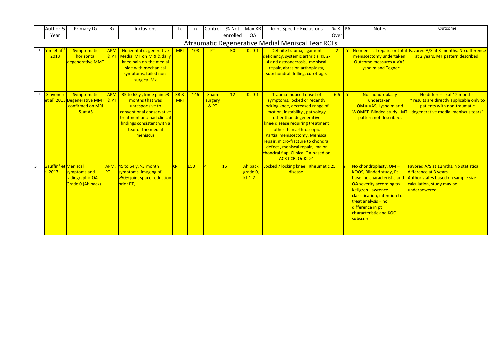|                | Author &<br>Year                  | Primary Dx                                                                                  | <b>Rx</b>         | <b>Inclusions</b>                                                                                                                                                                           | Ιx                | n   | Control                       | % Not<br>enrolled | Max XR<br><b>OA</b>                  | Joint Specific Exclusions                                                                                                                                                                                                                                                                                                                                                                     | $% X$ - PA<br>Over |              | <b>Notes</b>                                                                                                                                                                                                                                                 | Outcome                                                                                                                                            |
|----------------|-----------------------------------|---------------------------------------------------------------------------------------------|-------------------|---------------------------------------------------------------------------------------------------------------------------------------------------------------------------------------------|-------------------|-----|-------------------------------|-------------------|--------------------------------------|-----------------------------------------------------------------------------------------------------------------------------------------------------------------------------------------------------------------------------------------------------------------------------------------------------------------------------------------------------------------------------------------------|--------------------|--------------|--------------------------------------------------------------------------------------------------------------------------------------------------------------------------------------------------------------------------------------------------------------|----------------------------------------------------------------------------------------------------------------------------------------------------|
|                |                                   |                                                                                             |                   |                                                                                                                                                                                             |                   |     |                               |                   |                                      | Atraumatic Degenerative Medial Meniscal Tear RCTs                                                                                                                                                                                                                                                                                                                                             |                    |              |                                                                                                                                                                                                                                                              |                                                                                                                                                    |
|                | 1 Yim et al <sup>11</sup><br>2013 | Symptomatic<br>horizontal<br>degenerative MMT                                               | <b>APM</b><br>8PT | <b>Horizontal degenerative</b><br>Medial MT on MRI & daily<br>knee pain on the medial<br>side with mechanical<br>symptoms, failed non-<br>surgical Mx                                       | <b>MRI</b>        | 108 | PT                            | 30                | $KL$ $0-1$                           | Definite trauma, ligament<br>deficiency, systemic arthritis, KL 2-<br>4 and osteonecrosis, meniscal<br>repair, abrasion arthoplasty,<br>subchondral drilling, curettage.                                                                                                                                                                                                                      |                    |              | meniscectomy undertaken.<br><b>Outcome measures = VAS.</b><br><b>Lysholm and Tegner</b>                                                                                                                                                                      | No meniscal repairs or total Favored A/S at 3 months. No difference<br>at 2 years. MT pattern described.                                           |
| $\overline{2}$ | Sihvonen                          | Symptomatic<br>et al <sup>1</sup> 2013 Degenerative MMT & PT<br>confirmed on MRI<br>& at AS | <b>APM</b>        | $35$ to 65 y, knee pain >3<br>months that was<br>unresponsive to<br>conventional conservative<br>treatment and had clinical<br>findings consistent with a<br>tear of the medial<br>meniscus | XR&<br><b>MRI</b> | 146 | <b>Sham</b><br>surgery<br>8PT | 12                | $KL$ $0-1$                           | Trauma-induced onset of<br>symptoms, locked or recently<br>locking knee, decreased range of<br>motion, instability, pathology<br>other than degenerative<br>knee disease requiring treatment<br>other than arthroscopic<br>Partial meniscectomy, Meniscal<br>repair, micro-fracture to chondral<br>defect, meniscal repair, major<br>chondral flap, Clinical OA based on<br>ACR CCR. Or KL >1 | 6.6                | $\mathbf{Y}$ | No chondroplasty<br>undertaken.<br>$OM = VAS$ , Lysholm and<br>WOMET. Blinded study. MT<br>pattern not described.                                                                                                                                            | No difference at 12 months.<br>" results are directly applicable only to<br>patients with non-traumatic<br>degenerative medial meniscus tears"     |
|                | al 2017                           | Gauffin <sup>9</sup> et Meniscal<br>symptoms and<br>radiographic OA<br>Grade 0 (Ahlback)    | PT                | $APM$ , 45 to 64 y, >3 month<br>symptoms, imaging of<br>>50% joint space reduction<br>prior PT,                                                                                             | <b>XR</b>         | 150 | PT                            | 16                | Ahlback<br>grade 0,<br><b>KL 1-2</b> | Locked / locking knee. Rheumatic 25<br>disease.                                                                                                                                                                                                                                                                                                                                               |                    |              | No chondroplasty, $OM =$<br><b>KOOS, Blinded study, Pt</b><br>baseline characteristic and<br>OA severity according to<br>Kellgren-Lawrence<br>classification, intention to<br>treat analysis = no<br>difference in pt<br>characteristic and KOO<br>subscores | Favored A/S at 12mths. No statistical<br>difference at 3 years.<br>Author states based on sample size<br>calculation, study may be<br>underpowered |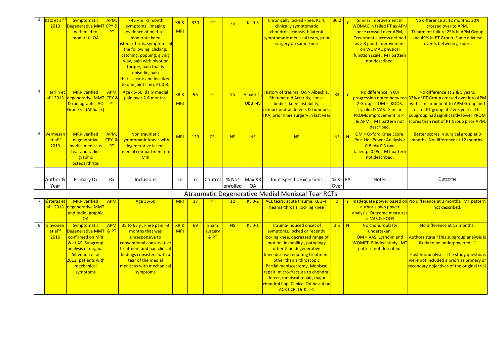| $\overline{4}$ | Katz et al <sup>11</sup><br>2013               | Symptomatic<br><b>Degenerative MMT CPY &amp;</b><br>with mild to<br>moderate OA                                                                                                      | APM,<br>PT          | $> 45$ y & $>1$ month<br>symptoms, imaging<br>evidence of mild-to-<br>moderate knee<br><mark>osteoarthritis, symptoms of</mark><br>the following: clicking,<br>catching, popping, giving<br>way, pain with pivot or<br>torque, pain that is<br>episodic, pain<br>that is acute and localized | XR&<br><b>MRI</b> | 330 | PT                     | 75              | $KL$ $0-3$           | Chronically locked knee, KL 4,<br>clinically symptomatic<br>chondrocalcinosis, bilateral<br>symptomatic meniscal tears, prior<br>surgery on same knee                                                                                                                                                                                                                                         | 30.2           | Similar improvement in<br><b>WOMAC in failed PT as APM</b><br>once crossed over APM,<br><b>Treatment success defined</b><br>$as > 8$ point improvement<br>on WOMAC physical<br>function scale. MT pattern<br>not described. | No difference at 12 months, 30%<br>crossed over to APM.<br><b>Treatment failure 25% in APM Group</b><br>and 49% in PT Group. Same adverse<br>events between groups.                                                                                                    |
|----------------|------------------------------------------------|--------------------------------------------------------------------------------------------------------------------------------------------------------------------------------------|---------------------|----------------------------------------------------------------------------------------------------------------------------------------------------------------------------------------------------------------------------------------------------------------------------------------------|-------------------|-----|------------------------|-----------------|----------------------|-----------------------------------------------------------------------------------------------------------------------------------------------------------------------------------------------------------------------------------------------------------------------------------------------------------------------------------------------------------------------------------------------|----------------|-----------------------------------------------------------------------------------------------------------------------------------------------------------------------------------------------------------------------------|------------------------------------------------------------------------------------------------------------------------------------------------------------------------------------------------------------------------------------------------------------------------|
| 5              | <b>Herrlin</b> et<br>$al^{10}$ 2013            | <b>MRI-verified</b><br>degenerative MMT <sub>, CPY</sub> &<br>& radiographic AO<br>Grade <2 (Ahlback)                                                                                | <b>APM</b><br>PT    | to one joint line), KL 0-3.<br>Age 45-60, daily medial<br>pain over 2-6 months.                                                                                                                                                                                                              | XR&<br><b>MRI</b> | 96  | PT                     | 55              | Alback 1<br>ObB I-IV | History of trauma, OA > Alback 1,<br><b>Rheumatoid Arthritis, Loose</b><br>bodies, knee instability,<br>osteochondral defects & tumours,<br>TKA, prior knee surgery in last year                                                                                                                                                                                                              | 33             | No difference in OA<br>$\mathbf{Y}$<br>2 Groups. OM = KOOS,<br>Lysolm & VAS. Similar<br><b>PROMs improvement in PT</b><br>& APM. MT pattern not<br>described.                                                               | No difference at 2 & 5 years.<br>progression noted between 33% of PT Group crossed over into APM<br>with similar benefit to APM Group and<br>rest of PT group at 2 & 5 years. This<br>subgroup had significantly lower PROM<br>scores than rest of PT Group prior APM. |
| 6              | /ermesar<br>et al <sup>12</sup><br>2013        | MRI- verified<br>degenerative<br>medial meniscus<br>tear and radio-<br>graphic<br>osteoarthritis                                                                                     | APM,<br>CPY &<br>PT | Non traumatic<br>symptomatic knees with<br>degenerative lesions<br>medial compartment on<br><b>MRI</b>                                                                                                                                                                                       | <b>MRI</b>        | 120 | <b>CSI</b>             | <b>NS</b>       | <b>NS</b>            | <b>NS</b>                                                                                                                                                                                                                                                                                                                                                                                     | <b>NS</b>      | OM = Oxford Knee Score.<br>N<br><b>Post Hoc Power Analysis &gt;</b><br>$0.8$ (d=.0.3 two<br>tailed, p=0.05). MT pattern<br>not described.                                                                                   | Better scores in surgical group at 3<br>months. No difference at 12 months.                                                                                                                                                                                            |
|                | Author &                                       | Primary Dx                                                                                                                                                                           | Rx                  | Inclusions                                                                                                                                                                                                                                                                                   | lx                | n   | Control                | % Not           | Max XR               | Joint Specific Exclusions                                                                                                                                                                                                                                                                                                                                                                     | $% X - PA$     | <b>Notes</b>                                                                                                                                                                                                                | Outcome                                                                                                                                                                                                                                                                |
|                | Year                                           |                                                                                                                                                                                      |                     |                                                                                                                                                                                                                                                                                              |                   |     |                        | enrolled        | <b>OA</b>            |                                                                                                                                                                                                                                                                                                                                                                                               | Over           |                                                                                                                                                                                                                             |                                                                                                                                                                                                                                                                        |
|                |                                                |                                                                                                                                                                                      |                     |                                                                                                                                                                                                                                                                                              |                   |     |                        |                 |                      | Atraumatic Degenerative Medial Meniscal Tear RCTs                                                                                                                                                                                                                                                                                                                                             |                |                                                                                                                                                                                                                             |                                                                                                                                                                                                                                                                        |
|                | 7 Østeras et                                   | <b>MRI-verified</b><br>al <sup>15</sup> 2013 degenerative MMT<br>and radio-graphic<br>OA                                                                                             | <b>APM</b>          | Age 35-60                                                                                                                                                                                                                                                                                    | <b>MRI</b>        | 17  | PT                     | 12 <sup>2</sup> | $KL$ $0-2$           | ACL tears, acute trauma, KL 3-4,<br>heamarthrosis, locking knee                                                                                                                                                                                                                                                                                                                               | $\overline{0}$ | Y<br>author's own power<br>analysis. Outcome measures<br>$= VAS & KOOS$                                                                                                                                                     | Inadequate power based on No difference at 3 months. MT pattern<br>not described.                                                                                                                                                                                      |
| 8              | <b>Sihvonen</b><br>et al <sup>14</sup><br>2016 | Symptomatic<br>Degenerative MMT & PT<br>confirmed on MRI<br>& at AS. Subgroup<br>analysis of original<br>Sihvonen et al<br>2013 <sup>1</sup> patients with<br>mechanical<br>symptoms | <b>APM</b>          | $35$ to 65 y, knee pain > 3<br>months that was<br>unresponsive to<br>conventional conservative<br>treatment and had clinical<br>findings consistent with a<br>tear of the medial<br>meniscus with mechanical<br>symptoms                                                                     | XR&<br><b>MRI</b> | 69  | Sham<br>surgery<br>&PT | <b>NS</b>       | $KL$ $0-1$           | Trauma-induced onset of<br>symptoms, locked or recently<br>locking knee, decreased range of<br>motion, instability, pathology<br>other than degenerative<br>knee disease requiring treatment<br>other than arthroscopic<br>Partial meniscectomy, Meniscal<br>repair, micro-fracture to chondral<br>defect, meniscal repair, major<br>chondral flap, Clinical OA based on<br>ACR CCR. Or KL >1 | $2.5$ N        | No chondroplasty<br>undertaken.<br>$OM = VAS$ , Lysholm and<br>WOMET. Blinded study. MT<br>pattern not described.                                                                                                           | No difference at 12 months.<br>Authors state "This subgroup analysis is<br>likely to be underpowered"<br>Post hoc analyses: The study questions<br>were not included a priori as primary or<br>secondary objectives of the original trial                              |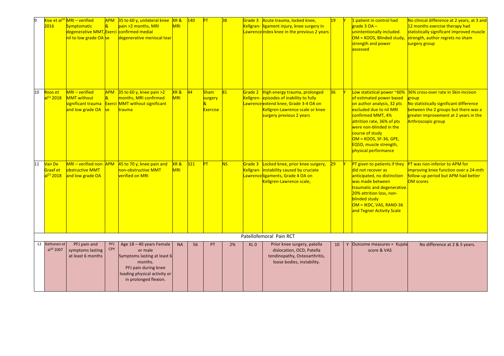|    | 2016                                        | Kise et al <sup>19</sup> MRI - verified<br><b>Symptomatic</b><br>degenerative MMT, Exerci confirmed medial<br>nil to low grade OA Se | <b>APM</b><br>$\overline{\mathbf{g}}$ | 35 to 60 y, unilateral knee<br>pain >2 months, MRI<br>degenerative meniscal tear                                                                               | XR&<br><b>MRI</b> | 140 | PT                         | 38        |                 | Grade 3 Acute trauma, locked knee,<br>Kellgran- ligament injury, knee surgery in<br>Lawrence index knee in the previous 2 years                      | 19 | 1 patient in control had<br>grade 3 OA -<br>unintentionally included.<br>OM = KOOS, Blinded study,<br>strength and power<br>assessed                                                                                                                                    | No clinical difference at 2 years, at 3 and<br>12 months exercise therapy had<br>statistically significant improved muscle<br>strength, author regrets no sham<br>surgery group |
|----|---------------------------------------------|--------------------------------------------------------------------------------------------------------------------------------------|---------------------------------------|----------------------------------------------------------------------------------------------------------------------------------------------------------------|-------------------|-----|----------------------------|-----------|-----------------|------------------------------------------------------------------------------------------------------------------------------------------------------|----|-------------------------------------------------------------------------------------------------------------------------------------------------------------------------------------------------------------------------------------------------------------------------|---------------------------------------------------------------------------------------------------------------------------------------------------------------------------------|
| 10 | Roos et                                     | MRI - verified                                                                                                                       | <b>APM</b>                            | $35$ to 60 y, knee pain >2                                                                                                                                     | XR&               | 44  | <b>Sham</b>                | 81        | Grade 2         | High energy trauma, prolonged                                                                                                                        | 36 | Low statistical power ~60%                                                                                                                                                                                                                                              | 36% cross-over rate in Skin-incision                                                                                                                                            |
|    | al <sup>22</sup> 2018                       | <b>MMT</b> without<br>significant trauma<br>and low grade OA                                                                         | $\overline{\mathbf{g}}$<br> se        | months, MRI confirmed<br><b>Exerci MMT without significant</b><br>trauma                                                                                       | MRI               |     | surgery<br><b>Exercise</b> |           |                 | Kellgren- episodes of inability to fully<br>Lawrence extend knee, Grade 3-4 OA on<br>Kellgren-Lawrence scale or knee<br>surgery previous 2 years     |    | of estimated power based<br>on author analysis, 32 pts<br>excluded due to nil MRI<br>confirmed MMT, 4%<br>attrition rate, 36% of pts<br>were non-blinded in the<br>course of study<br>$OM = KOOS, SF-36, GPE,$<br><b>EQ5D, muscle strength,</b><br>physical performance | group<br>No statistically significant difference<br>between the 2 groups but there was a<br>greater improvement at 2 years in the<br>Arthroscopic group                         |
| 11 | Van De<br>Graaf et<br>al <sup>23</sup> 2018 | MRI - verified non-APM<br><b>obstructive MMT</b><br>and low grade OA                                                                 |                                       | $45$ to 70 y, knee pain and<br>non-obstructive MMT<br>verified on MRI                                                                                          | XR&<br><b>MRI</b> | 321 | PT                         | <b>NS</b> | Grade 3         | Locked knee, prior knee surgery,<br>Kellgran- <i>instability caused by cruciate</i><br>Lawrence ligaments, Grade 4 OA on<br>Kellgren-Lawrence scale, | 29 | PT given to patients if they<br>did not recover as<br>anticipated, no distinction<br>was made between<br>traumatic and degenerative.<br>20% attrition loss, non-<br>blinded study<br>$OM = IKDC, VAS, RAND-36$<br>and Tegner Activity Scale                             | PT was non-inferior to APM for<br>improving knee function over a 24-mth<br>follow-up period but APM had better<br><b>OM scores</b>                                              |
|    |                                             |                                                                                                                                      |                                       |                                                                                                                                                                |                   |     |                            |           |                 | Patellofemoral Pain RCT                                                                                                                              |    |                                                                                                                                                                                                                                                                         |                                                                                                                                                                                 |
|    | 12 Kettunen et<br>al <sup>16</sup> 2007     | PFJ pain and<br>symptoms lasting<br>at least 6 months                                                                                | PFJ<br><b>CPY</b>                     | Age 18 - 40 years Female<br>or male<br>Symptoms lasting at least 6<br>months.<br>PFJ pain during knee<br>loading physical activity or<br>in prolonged flexion. | <b>NA</b>         | 56  | PT                         | 2%        | KL <sub>0</sub> | Prior knee surgery, patella<br>dislocation, OCD, Patella<br>tendinopathy, Osteoarthritis,<br>loose bodies, instability.                              | 10 | Y Outcome measures = Kujala<br>score & VAS                                                                                                                                                                                                                              | No difference at 2 & 5 years.                                                                                                                                                   |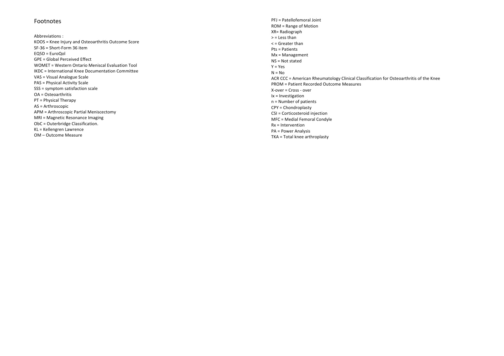#### Footnotes

Abbreviations : KOOS = Knee Injury and Osteoarthritis Outcome Score SF -36 = Short -Form 36 item  $EOSD = FuroOol$ GPE = Global Perceived Effect WOMET = Western Ontario Meniscal Evaluation Tool IKDC = International Knee Documentation Committee VAS = Visual Analogue Scale PAS = Physical Activity Scale SSS = symptom satisfaction scale OA = Osteoarthritis PT = Physical Therapy AS = Arthroscopic APM = Arthroscopic Partial Meniscectomy MRI = Magnetic Resonance Imaging ObC = Outerbridge Classification. KL = Kellengren Lawrence OM – Outcome Measure

PFJ = Patellofemoral Joint ROM = Range of Motion XR= Radiograph > = Less than < = Greater than Pts = Patients Mx = Management NS = Not stated  $Y = Y eS$  $N = No$ ACR CCC = American Rheumatology Clinical Classification for Osteoarthritis of the Knee PROM = Patient Recorded Outcome Measures<br>X-over = Cross - over Ix = Investigation n = Number of patients CPY = Chondroplasty CSI = Corticosteroid injection MFC = Medial Femoral Condyle Rx = Intervention PA = Power Analysis TKA = Total knee arthroplasty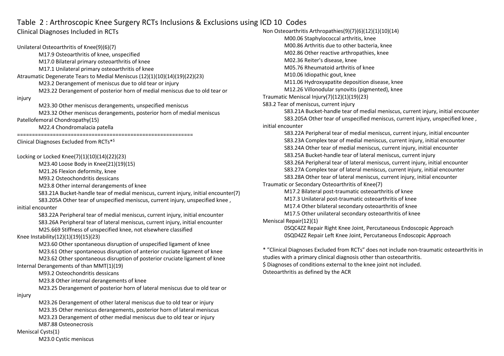## Table 2 : Arthroscopic Knee Surgery RCTs Inclusions & Exclusions using ICD 10 Codes

## Clinical Diagnoses Included in RCTs

Unilateral Osteoarthritis of Knee(9)(6)(7) M17.9 Osteoarthritis of knee, unspecified M17.0 Bilateral primary osteoarthritis of knee M17.1 Unilateral primary osteoarthritis of knee Atraumatic Degenerate Tears to Medial Meniscus (12)(1)(10)(14)(19)(22)(23) M23.2 Derangement of meniscus due to old tear or injury M23.22 Derangement of posterior horn of medial meniscus due to old tear or injury M23.30 Other meniscus derangements, unspecified meniscus M23.32 Other meniscus derangements, posterior horn of medial meniscus Patellofemoral Chondropathy(15) M22.4 Chondromalacia patella =========================================================== Clinical Diagnoses Excluded from RCTs\*\$ Locking or Locked Knee(7)(1)(10)(14)(22)(23) M23.40 Loose Body in Knee(21)(19)(15) M21.26 Flexion deformity, knee M93.2 Osteochondritis dessicans M23.8 Other internal derangements of knee S83.21A Bucket-handle tear of medial meniscus, current injury, initial encounter(7) S83.205A Other tear of unspecified meniscus, current injury, unspecified knee , initial encounter S83.22A Peripheral tear of medial meniscus, current injury, initial encounter S83.26A Peripheral tear of lateral meniscus, current injury, initial encounter M25.669 Stiffness of unspecified knee, not elsewhere classified Knee Instability(12)(1)(19)(15)(23) M23.60 Other spontaneous disruption of unspecified ligament of knee M23.61 Other spontaneous disruption of anterior cruciate ligament of knee M23.62 Other spontaneous disruption of posterior cruciate ligament of knee Internal Derangements of than MMT(1)(19) M93.2 Osteochondritis dessicans M23.8 Other internal derangements of knee M23.25 Derangement of posterior horn of lateral meniscus due to old tear or injury M23.26 Derangement of other lateral meniscus due to old tear or injury M23.35 Other meniscus derangements, posterior horn of lateral meniscus M23.23 Derangement of other medial meniscus due to old tear or injury M87.88 Osteonecrosis

#### Meniscal Cysts(1)

M23.0 Cystic meniscus

Non Osteoarthritis Arthropathies(9)(7)(6)(12)(1)(10)(14) M00.06 Staphylococcal arthritis, knee M00.86 Arthritis due to other bacteria, knee M02.86 Other reactive arthropathies, knee M02.36 Reiter's disease, knee M05.76 Rheumatoid arthritis of knee M10.06 Idiopathic gout, knee M11.06 Hydroxyapatite deposition disease, knee M12.26 Villonodular synovitis (pigmented), knee Traumatic Meniscal Injury(7)(12)(1)(19)(23) S83.2 Tear of meniscus, current injury S83.21A Bucket-handle tear of medial meniscus, current injury, initial encounter S83.205A Other tear of unspecified meniscus, current injury, unspecified knee , initial encounter S83.22A Peripheral tear of medial meniscus, current injury, initial encounter S83.23A Complex tear of medial meniscus, current injury, initial encounter S83.24A Other tear of medial meniscus, current injury, initial encounter S83.25A Bucket-handle tear of lateral meniscus, current injury S83.26A Peripheral tear of lateral meniscus, current injury, initial encounter S83.27A Complex tear of lateral meniscus, current injury, initial encounter S83.28A Other tear of lateral meniscus, current injury, initial encounter Traumatic or Secondary Osteoarthritis of Knee(7) M17.2 Bilateral post-traumatic osteoarthritis of knee M17.3 Unilateral post-traumatic osteoarthritis of knee M17.4 Other bilateral secondary osteoarthritis of knee M17.5 Other unilateral secondary osteoarthritis of knee Meniscal Repair(12)(1) 0SQC4ZZ Repair Right Knee Joint, Percutaneous Endoscopic Approach 0SQD4ZZ Repair Left Knee Joint, Percutaneous Endoscopic Approach

\* "Clinical Diagnoses Excluded from RCTs" does not include non-traumatic osteoarthritis in studies with a primary clinical diagnosis other than osteoarthritis.

\$ Diagnoses of conditions external to the knee joint not included. Osteoarthritis as defined by the ACR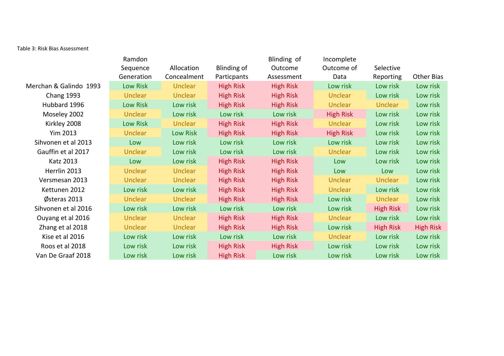Table 3: Risk Bias Assessment

| Ramdon          |                |                  | Blinding of        | Incomplete       |                  |                  |
|-----------------|----------------|------------------|--------------------|------------------|------------------|------------------|
| Generation      | Concealment    | Particpants      | Assessment         | Data             | Reporting        | Other Bias       |
| Low Risk        | <b>Unclear</b> | <b>High Risk</b> | <b>High Risk</b>   | Low risk         | Low risk         | Low risk         |
| Unclear         | <b>Unclear</b> | <b>High Risk</b> | <b>High Risk</b>   | <b>Unclear</b>   | Low risk         | Low risk         |
| <b>Low Risk</b> | Low risk       | <b>High Risk</b> | <b>High Risk</b>   | <b>Unclear</b>   | <b>Unclear</b>   | Low risk         |
| Unclear         | Low risk       | Low risk         | Low risk           | <b>High Risk</b> | Low risk         | Low risk         |
| <b>Low Risk</b> | <b>Unclear</b> | <b>High Risk</b> | <b>High Risk</b>   | <b>Unclear</b>   | Low risk         | Low risk         |
| <b>Unclear</b>  | Low Risk       | <b>High Risk</b> | <b>High Risk</b>   | <b>High Risk</b> | Low risk         | Low risk         |
| Low             | Low risk       | Low risk         | Low risk           | Low risk         | Low risk         | Low risk         |
| <b>Unclear</b>  | Low risk       | Low risk         | Low risk           | <b>Unclear</b>   | Low risk         | Low risk         |
| Low             | Low risk       | <b>High Risk</b> | <b>High Risk</b>   | Low              | Low risk         | Low risk         |
| <b>Unclear</b>  | <b>Unclear</b> | <b>High Risk</b> | <b>High Risk</b>   | Low              | Low              | Low risk         |
| <b>Unclear</b>  | <b>Unclear</b> | <b>High Risk</b> | <b>High Risk</b>   | <b>Unclear</b>   | <b>Unclear</b>   | Low risk         |
| Low risk        | Low risk       | <b>High Risk</b> | <b>High Risk</b>   | <b>Unclear</b>   | Low risk         | Low risk         |
| Unclear         | <b>Unclear</b> | <b>High Risk</b> | <b>High Risk</b>   | Low risk         | <b>Unclear</b>   | Low risk         |
| Low risk        | Low risk       | Low risk         | Low risk           | Low risk         | <b>High Risk</b> | Low risk         |
| Unclear         | <b>Unclear</b> | <b>High Risk</b> | <b>High Risk</b>   | <b>Unclear</b>   | Low risk         | Low risk         |
| Unclear         | <b>Unclear</b> | <b>High Risk</b> | <b>High Risk</b>   | Low risk         | <b>High Risk</b> | <b>High Risk</b> |
| Low risk        | Low risk       | Low risk         | Low risk           | <b>Unclear</b>   | Low risk         | Low risk         |
| Low risk        | Low risk       | <b>High Risk</b> | <b>High Risk</b>   | Low risk         | Low risk         | Low risk         |
| Low risk        | Low risk       | <b>High Risk</b> | Low risk           | Low risk         | Low risk         | Low risk         |
|                 | Sequence       | Allocation       | <b>Blinding of</b> | Outcome          | Outcome of       | Selective        |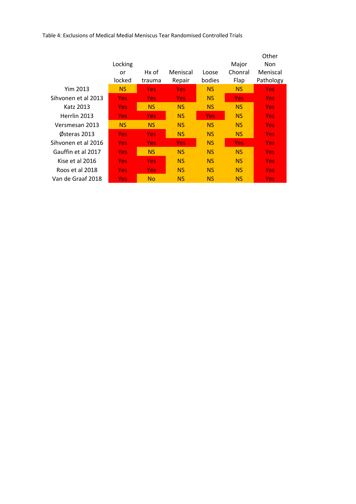Table 4: Exclusions of Medical Medial Meniscus Tear Randomised Controlled Trials

|                     | Locking          |            |            |            | Major      | Other<br><b>Non</b> |
|---------------------|------------------|------------|------------|------------|------------|---------------------|
|                     |                  | Hx of      | Meniscal   | Loose      | Chonral    | Meniscal            |
|                     | or               |            |            |            |            |                     |
|                     | locked           | trauma     | Repair     | bodies     | Flap       | Pathology           |
| Yim 2013            | <b>NS</b>        | <b>Yes</b> | <b>Yes</b> | <b>NS</b>  | NS         | <b>Yes</b>          |
| Sihvonen et al 2013 | Yes.             | Yes.       | <b>Yes</b> | <b>NS</b>  | <b>Yes</b> | <b>Yes</b>          |
| Katz 2013           | <b>Yes</b>       | <b>NS</b>  | <b>NS</b>  | <b>NS</b>  | NS         | <b>Yes</b>          |
| Herrlin 2013        | Yes              | <b>Yes</b> | <b>NS</b>  | <b>Yes</b> | <b>NS</b>  | <b>Yes</b>          |
| Versmesan 2013      | <b>NS</b>        | <b>NS</b>  | <b>NS</b>  | <b>NS</b>  | <b>NS</b>  | <b>Yes</b>          |
| Østeras 2013        | <b>Yes</b>       | <b>Yes</b> | <b>NS</b>  | <b>NS</b>  | <b>NS</b>  | <b>Yes</b>          |
| Sihvonen et al 2016 | <b>Yes</b>       | <b>Yes</b> | <b>Yes</b> | <b>NS</b>  | <b>Yes</b> | <b>Yes</b>          |
| Gauffin et al 2017  | <b>Yes</b>       | <b>NS</b>  | <b>NS</b>  | <b>NS</b>  | NS         | <b>Yes</b>          |
| Kise et al 2016     | Yes <sub>i</sub> | <b>Yes</b> | <b>NS</b>  | <b>NS</b>  | <b>NS</b>  | <b>Yes</b>          |
| Roos et al 2018     | <b>Yes</b>       | <b>Yes</b> | <b>NS</b>  | <b>NS</b>  | <b>NS</b>  | <b>Yes</b>          |
| Van de Graaf 2018   | <b>Yes</b>       | <b>No</b>  | <b>NS</b>  | <b>NS</b>  | <b>NS</b>  | Yes                 |